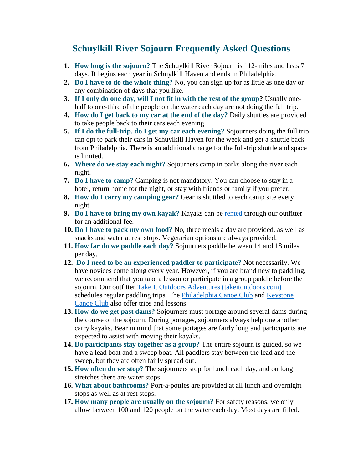## **Schuylkill River Sojourn Frequently Asked Questions**

- **1. How long is the sojourn?** The Schuylkill River Sojourn is 112-miles and lasts 7 days. It begins each year in Schuylkill Haven and ends in Philadelphia.
- **2. Do I have to do the whole thing?** No, you can sign up for as little as one day or any combination of days that you like.
- **3. If I only do one day, will I not fit in with the rest of the group?** Usually onehalf to one-third of the people on the water each day are not doing the full trip.
- **4. How do I get back to my car at the end of the day?** Daily shuttles are provided to take people back to their cars each evening.
- **5. If I do the full-trip, do I get my car each evening?** Sojourners doing the full trip can opt to park their cars in Schuylkill Haven for the week and get a shuttle back from Philadelphia. There is an additional charge for the full-trip shuttle and space is limited.
- **6. Where do we stay each night?** Sojourners camp in parks along the river each night.
- **7. Do I have to camp?** Camping is not mandatory. You can choose to stay in a hotel, return home for the night, or stay with friends or family if you prefer.
- **8. How do I carry my camping gear?** Gear is shuttled to each camp site every night.
- **9. Do I have to bring my own kayak?** Kayaks can be [rented](https://events.r20.constantcontact.com/register/eventReg?oeidk=a07eg621bql5139922d&oseq=&c=&ch=) through our outfitter for an additional fee.
- **10. Do I have to pack my own food?** No, three meals a day are provided, as well as snacks and water at rest stops. Vegetarian options are always provided.
- **11. How far do we paddle each day?** Sojourners paddle between 14 and 18 miles per day.
- **12. Do I need to be an experienced paddler to participate?** Not necessarily. We have novices come along every year. However, if you are brand new to paddling, we recommend that you take a lesson or participate in a group paddle before the sojourn. Our outfitter [Take It Outdoors Adventures \(takeitoutdoors.com\)](http://www.takeitoutdoorsadventures.com/) schedules regular paddling trips. The [Philadelphia Canoe Club](http://www.philacanoe.org/) and Keystone [Canoe Club](http://www.keystonecanoeclub.com/) also offer trips and lessons.
- **13. How do we get past dams?** Sojourners must portage around several dams during the course of the sojourn. During portages, sojourners always help one another carry kayaks. Bear in mind that some portages are fairly long and participants are expected to assist with moving their kayaks.
- **14. Do participants stay together as a group?** The entire sojourn is guided, so we have a lead boat and a sweep boat. All paddlers stay between the lead and the sweep, but they are often fairly spread out.
- **15. How often do we stop?** The sojourners stop for lunch each day, and on long stretches there are water stops.
- **16. What about bathrooms?** Port-a-potties are provided at all lunch and overnight stops as well as at rest stops.
- **17. How many people are usually on the sojourn?** For safety reasons, we only allow between 100 and 120 people on the water each day. Most days are filled.